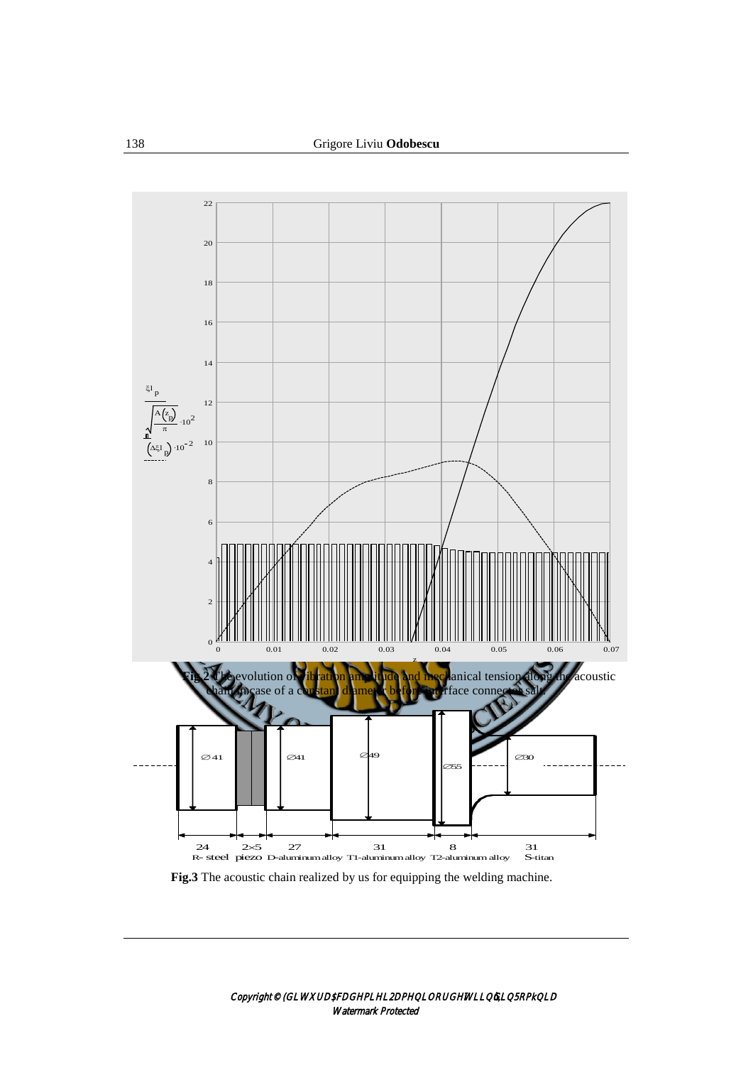

**Fig.3** The acoustic chain realized by us for equipping the welding machine.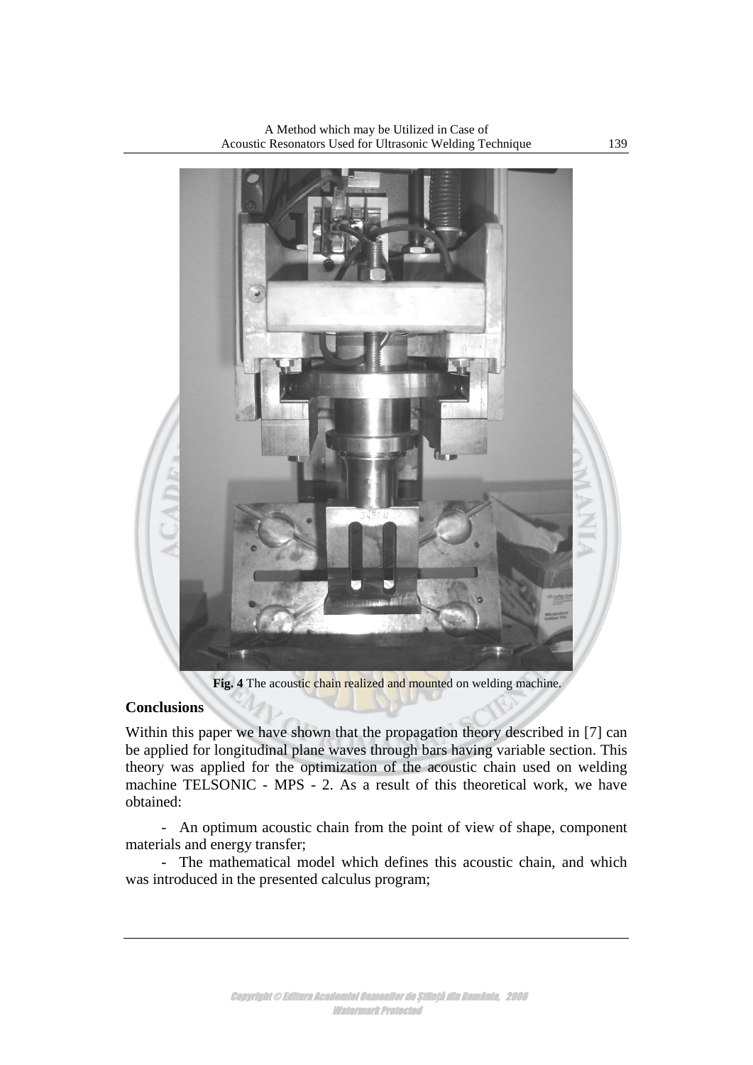

A Method which may be Utilized in Case of Acoustic Resonators Used for Ultrasonic Welding Technique 139

Fig. 4 The acoustic chain realized and mounted on welding machine.

## **Conclusions**

Within this paper we have shown that the propagation theory described in [7] can be applied for longitudinal plane waves through bars having variable section. This theory was applied for the optimization of the acoustic chain used on welding machine TELSONIC - MPS - 2. As a result of this theoretical work, we have obtained:

- An optimum acoustic chain from the point of view of shape, component materials and energy transfer;

- The mathematical model which defines this acoustic chain, and which was introduced in the presented calculus program;